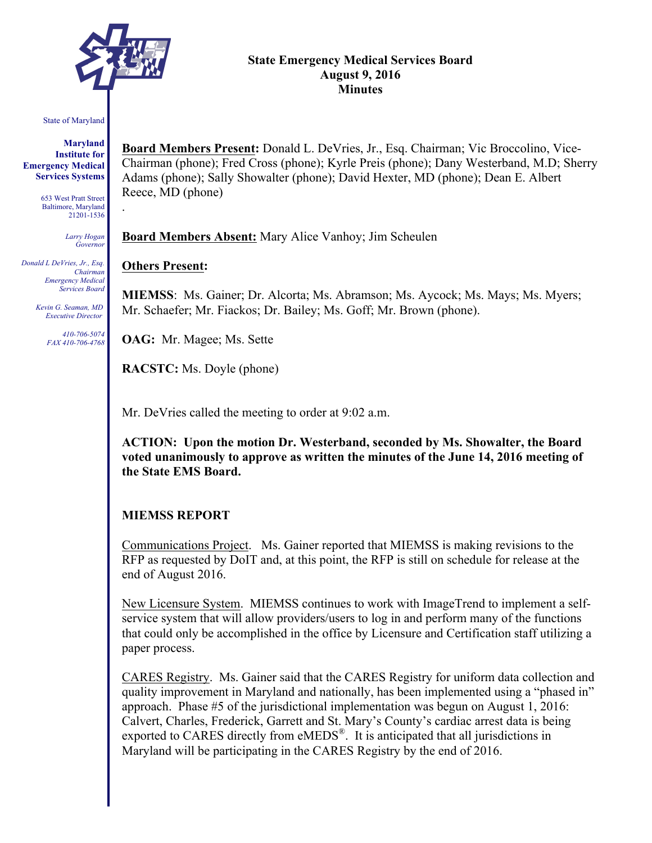

.

#### **State Emergency Medical Services Board August 9, 2016 Minutes**

#### State of Maryland

**Maryland Institute for Emergency Medical Services Systems**

> 653 West Pratt Street Baltimore, Maryland 21201-1536

> > *Larry Hogan Governor*

*Donald L DeVries, Jr., Esq. Chairman Emergency Medical Services Board*

> *Kevin G. Seaman, MD Executive Director*

> > *410-706-5074 FAX 410-706-4768*

**Board Members Present:** Donald L. DeVries, Jr., Esq. Chairman; Vic Broccolino, Vice-Chairman (phone); Fred Cross (phone); Kyrle Preis (phone); Dany Westerband, M.D; Sherry Adams (phone); Sally Showalter (phone); David Hexter, MD (phone); Dean E. Albert Reece, MD (phone)

**Board Members Absent:** Mary Alice Vanhoy; Jim Scheulen

#### **Others Present:**

**MIEMSS**: Ms. Gainer; Dr. Alcorta; Ms. Abramson; Ms. Aycock; Ms. Mays; Ms. Myers; Mr. Schaefer; Mr. Fiackos; Dr. Bailey; Ms. Goff; Mr. Brown (phone).

**OAG:** Mr. Magee; Ms. Sette

**RACSTC:** Ms. Doyle (phone)

Mr. DeVries called the meeting to order at 9:02 a.m.

**ACTION: Upon the motion Dr. Westerband, seconded by Ms. Showalter, the Board voted unanimously to approve as written the minutes of the June 14, 2016 meeting of the State EMS Board.**

#### **MIEMSS REPORT**

Communications Project. Ms. Gainer reported that MIEMSS is making revisions to the RFP as requested by DoIT and, at this point, the RFP is still on schedule for release at the end of August 2016.

New Licensure System. MIEMSS continues to work with ImageTrend to implement a selfservice system that will allow providers/users to log in and perform many of the functions that could only be accomplished in the office by Licensure and Certification staff utilizing a paper process.

CARES Registry. Ms. Gainer said that the CARES Registry for uniform data collection and quality improvement in Maryland and nationally, has been implemented using a "phased in" approach. Phase #5 of the jurisdictional implementation was begun on August 1, 2016: Calvert, Charles, Frederick, Garrett and St. Mary's County's cardiac arrest data is being exported to CARES directly from eMEDS®. It is anticipated that all jurisdictions in Maryland will be participating in the CARES Registry by the end of 2016.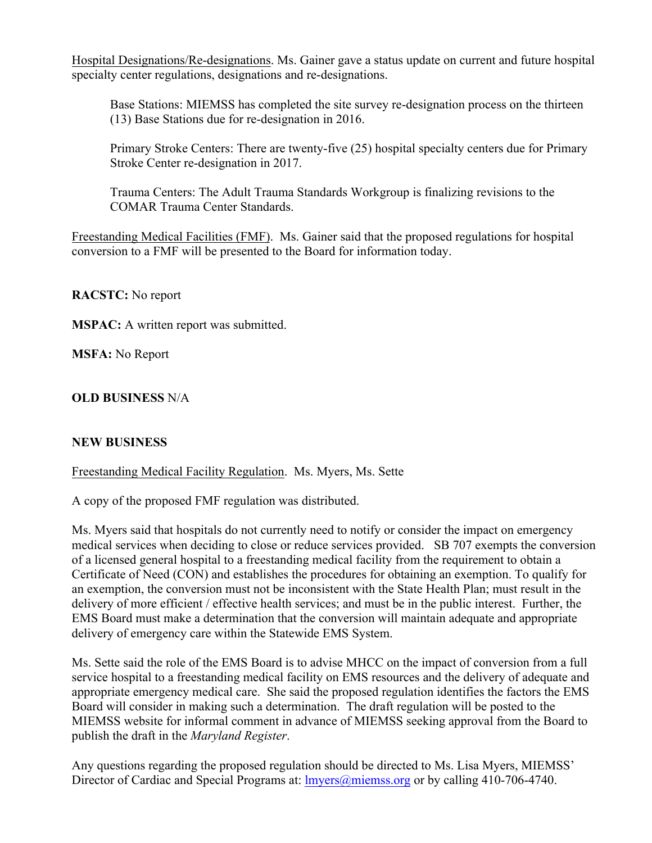Hospital Designations/Re-designations. Ms. Gainer gave a status update on current and future hospital specialty center regulations, designations and re-designations.

Base Stations: MIEMSS has completed the site survey re-designation process on the thirteen (13) Base Stations due for re-designation in 2016.

Primary Stroke Centers: There are twenty-five (25) hospital specialty centers due for Primary Stroke Center re-designation in 2017.

Trauma Centers: The Adult Trauma Standards Workgroup is finalizing revisions to the COMAR Trauma Center Standards.

Freestanding Medical Facilities (FMF). Ms. Gainer said that the proposed regulations for hospital conversion to a FMF will be presented to the Board for information today.

**RACSTC:** No report

**MSPAC:** A written report was submitted.

**MSFA:** No Report

# **OLD BUSINESS** N/A

## **NEW BUSINESS**

## Freestanding Medical Facility Regulation. Ms. Myers, Ms. Sette

A copy of the proposed FMF regulation was distributed.

Ms. Myers said that hospitals do not currently need to notify or consider the impact on emergency medical services when deciding to close or reduce services provided. SB 707 exempts the conversion of a licensed general hospital to a freestanding medical facility from the requirement to obtain a Certificate of Need (CON) and establishes the procedures for obtaining an exemption. To qualify for an exemption, the conversion must not be inconsistent with the State Health Plan; must result in the delivery of more efficient / effective health services; and must be in the public interest. Further, the EMS Board must make a determination that the conversion will maintain adequate and appropriate delivery of emergency care within the Statewide EMS System.

Ms. Sette said the role of the EMS Board is to advise MHCC on the impact of conversion from a full service hospital to a freestanding medical facility on EMS resources and the delivery of adequate and appropriate emergency medical care. She said the proposed regulation identifies the factors the EMS Board will consider in making such a determination. The draft regulation will be posted to the MIEMSS website for informal comment in advance of MIEMSS seeking approval from the Board to publish the draft in the *Maryland Register*.

Any questions regarding the proposed regulation should be directed to Ms. Lisa Myers, MIEMSS' Director of Cardiac and Special Programs at: *Imvers@miemss.org* or by calling 410-706-4740.